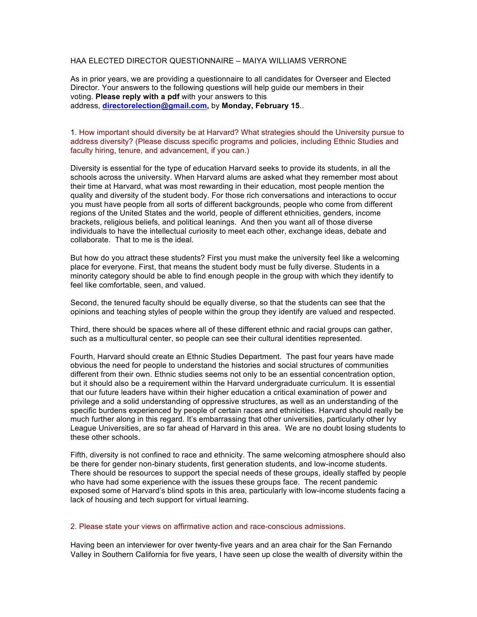# HAA ELECTED DIRECTOR QUESTIONNAIRE – MAIYA WILLIAMS VERRONE

As in prior years, we are providing a questionnaire to all candidates for Overseer and Elected Director. Your answers to the following questions will help guide our members in their voting. **Please reply with a pdf** with your answers to this address, **directorelection@gmail.com,** by **Monday, February 15**..

## 1. How important should diversity be at Harvard? What strategies should the University pursue to address diversity? (Please discuss specific programs and policies, including Ethnic Studies and faculty hiring, tenure, and advancement, if you can.)

Diversity is essential for the type of education Harvard seeks to provide its students, in all the schools across the university. When Harvard alums are asked what they remember most about their time at Harvard, what was most rewarding in their education, most people mention the quality and diversity of the student body. For those rich conversations and interactions to occur you must have people from all sorts of different backgrounds, people who come from different regions of the United States and the world, people of different ethnicities, genders, income brackets, religious beliefs, and political leanings. And then you want all of those diverse individuals to have the intellectual curiosity to meet each other, exchange ideas, debate and collaborate. That to me is the ideal.

But how do you attract these students? First you must make the university feel like a welcoming place for everyone. First, that means the student body must be fully diverse. Students in a minority category should be able to find enough people in the group with which they identify to feel like comfortable, seen, and valued.

Second, the tenured faculty should be equally diverse, so that the students can see that the opinions and teaching styles of people within the group they identify are valued and respected.

Third, there should be spaces where all of these different ethnic and racial groups can gather, such as a multicultural center, so people can see their cultural identities represented.

Fourth, Harvard should create an Ethnic Studies Department. The past four years have made obvious the need for people to understand the histories and social structures of communities different from their own. Ethnic studies seems not only to be an essential concentration option, but it should also be a requirement within the Harvard undergraduate curriculum. It is essential that our future leaders have within their higher education a critical examination of power and privilege and a solid understanding of oppressive structures, as well as an understanding of the specific burdens experienced by people of certain races and ethnicities. Harvard should really be much further along in this regard. It's embarrassing that other universities, particularly other Ivy League Universities, are so far ahead of Harvard in this area. We are no doubt losing students to these other schools.

Fifth, diversity is not confined to race and ethnicity. The same welcoming atmosphere should also be there for gender non-binary students, first generation students, and low-income students. There should be resources to support the special needs of these groups, ideally staffed by people who have had some experience with the issues these groups face. The recent pandemic exposed some of Harvard's blind spots in this area, particularly with low-income students facing a lack of housing and tech support for virtual learning.

#### 2. Please state your views on affirmative action and race-conscious admissions.

Having been an interviewer for over twenty-five years and an area chair for the San Fernando Valley in Southern California for five years, I have seen up close the wealth of diversity within the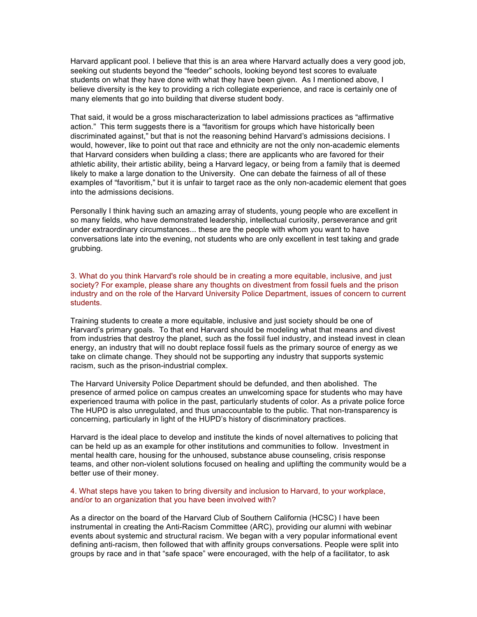Harvard applicant pool. I believe that this is an area where Harvard actually does a very good job, seeking out students beyond the "feeder" schools, looking beyond test scores to evaluate students on what they have done with what they have been given. As I mentioned above, I believe diversity is the key to providing a rich collegiate experience, and race is certainly one of many elements that go into building that diverse student body.

That said, it would be a gross mischaracterization to label admissions practices as "affirmative action." This term suggests there is a "favoritism for groups which have historically been discriminated against," but that is not the reasoning behind Harvard's admissions decisions. I would, however, like to point out that race and ethnicity are not the only non-academic elements that Harvard considers when building a class; there are applicants who are favored for their athletic ability, their artistic ability, being a Harvard legacy, or being from a family that is deemed likely to make a large donation to the University. One can debate the fairness of all of these examples of "favoritism," but it is unfair to target race as the only non-academic element that goes into the admissions decisions.

Personally I think having such an amazing array of students, young people who are excellent in so many fields, who have demonstrated leadership, intellectual curiosity, perseverance and grit under extraordinary circumstances... these are the people with whom you want to have conversations late into the evening, not students who are only excellent in test taking and grade grubbing.

3. What do you think Harvard's role should be in creating a more equitable, inclusive, and just society? For example, please share any thoughts on divestment from fossil fuels and the prison industry and on the role of the Harvard University Police Department, issues of concern to current students.

Training students to create a more equitable, inclusive and just society should be one of Harvard's primary goals. To that end Harvard should be modeling what that means and divest from industries that destroy the planet, such as the fossil fuel industry, and instead invest in clean energy, an industry that will no doubt replace fossil fuels as the primary source of energy as we take on climate change. They should not be supporting any industry that supports systemic racism, such as the prison-industrial complex.

The Harvard University Police Department should be defunded, and then abolished. The presence of armed police on campus creates an unwelcoming space for students who may have experienced trauma with police in the past, particularly students of color. As a private police force The HUPD is also unregulated, and thus unaccountable to the public. That non-transparency is concerning, particularly in light of the HUPD's history of discriminatory practices.

Harvard is the ideal place to develop and institute the kinds of novel alternatives to policing that can be held up as an example for other institutions and communities to follow. Investment in mental health care, housing for the unhoused, substance abuse counseling, crisis response teams, and other non-violent solutions focused on healing and uplifting the community would be a better use of their money.

## 4. What steps have you taken to bring diversity and inclusion to Harvard, to your workplace, and/or to an organization that you have been involved with?

As a director on the board of the Harvard Club of Southern California (HCSC) I have been instrumental in creating the Anti-Racism Committee (ARC), providing our alumni with webinar events about systemic and structural racism. We began with a very popular informational event defining anti-racism, then followed that with affinity groups conversations. People were split into groups by race and in that "safe space" were encouraged, with the help of a facilitator, to ask